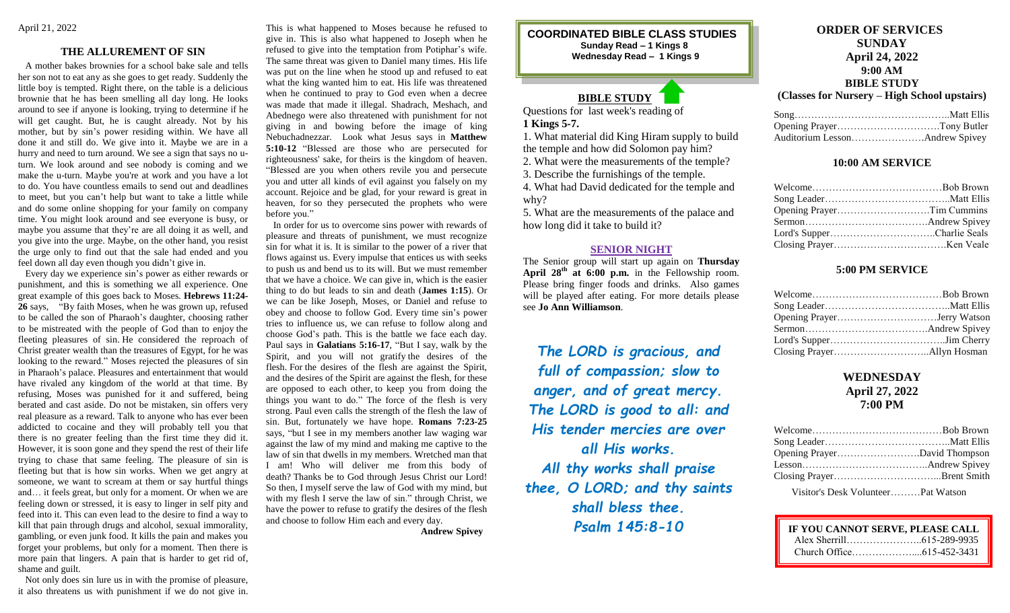## **THE ALLUREMENT OF SIN**

 A mother bakes brownies for a school bake sale and tells her son not to eat any as she goes to get ready. Suddenly the little boy is tempted. Right there, on the table is a delicious brownie that he has been smelling all day long. He looks around to see if anyone is looking, trying to determine if he will get caught. But, he is caught already. Not by his mother, but by sin's power residing within. We have all done it and still do. We give into it. Maybe we are in a hurry and need to turn around. We see a sign that says no uturn. We look around and see nobody is coming and we make the u-turn. Maybe you're at work and you have a lot to do. You have countless emails to send out and deadlines to meet, but you can't help but want to take a little while and do some online shopping for your family on company time. You might look around and see everyone is busy, or maybe you assume that they're are all doing it as well, and you give into the urge. Maybe, on the other hand, you resist the urge only to find out that the sale had ended and you feel down all day even though you didn't give in.

 Every day we experience sin's power as either rewards or punishment, and this is something we all experience. One great example of this goes back to Moses. **Hebrews 11:24- 26** says, "By faith Moses, when he was grown up, refused to be called the son of Pharaoh's daughter, choosing rather to be mistreated with the people of God than to enjoy the fleeting pleasures of sin. He considered the reproach of Christ greater wealth than the treasures of Egypt, for he was looking to the reward." Moses rejected the pleasures of sin in Pharaoh's palace. Pleasures and entertainment that would have rivaled any kingdom of the world at that time. By refusing, Moses was punished for it and suffered, being berated and cast aside. Do not be mistaken, sin offers very real pleasure as a reward. Talk to anyone who has ever been addicted to cocaine and they will probably tell you that there is no greater feeling than the first time they did it. However, it is soon gone and they spend the rest of their life trying to chase that same feeling. The pleasure of sin is fleeting but that is how sin works. When we get angry at someone, we want to scream at them or say hurtful things and… it feels great, but only for a moment. Or when we are feeling down or stressed, it is easy to linger in self pity and feed into it. This can even lead to the desire to find a way to kill that pain through drugs and alcohol, sexual immorality, gambling, or even junk food. It kills the pain and makes you forget your problems, but only for a moment. Then there is more pain that lingers. A pain that is harder to get rid of, shame and guilt.

 Not only does sin lure us in with the promise of pleasure, it also threatens us with punishment if we do not give in. This is what happened to Moses because he refused to give in. This is also what happened to Joseph when he refused to give into the temptation from Potiphar's wife. The same threat was given to Daniel many times. His life was put on the line when he stood up and refused to eat what the king wanted him to eat. His life was threatened when he continued to pray to God even when a decree was made that made it illegal. Shadrach, Meshach, and Abednego were also threatened with punishment for not giving in and bowing before the image of king Nebuchadnezzar. Look what Jesus says in **Matthew 5:10-12** "Blessed are those who are persecuted for righteousness' sake, for theirs is the kingdom of heaven. "Blessed are you when others revile you and persecute you and utter all kinds of evil against you falsely on my account. Rejoice and be glad, for your reward is great in heaven, for so they persecuted the prophets who were before you."

 In order for us to overcome sins power with rewards of pleasure and threats of punishment, we must recognize sin for what it is. It is similar to the power of a river that flows against us. Every impulse that entices us with seeks to push us and bend us to its will. But we must remember that we have a choice. We can give in, which is the easier thing to do but leads to sin and death (**James 1:15**). Or we can be like Joseph, Moses, or Daniel and refuse to obey and choose to follow God. Every time sin's power tries to influence us, we can refuse to follow along and choose God's path. This is the battle we face each day. Paul says in **Galatians 5:16-17**, "But I say, walk by the Spirit, and you will not gratify the desires of the flesh. For the desires of the flesh are against the Spirit, and the desires of the Spirit are against the flesh, for these are opposed to each other, to keep you from doing the things you want to do." The force of the flesh is very strong. Paul even calls the strength of the flesh the law of sin. But, fortunately we have hope. **Romans 7:23-25** says, "but I see in my members another law waging war against the law of my mind and making me captive to the law of sin that dwells in my members. Wretched man that I am! Who will deliver me from this body of death? Thanks be to God through Jesus Christ our Lord! So then, I myself serve the law of God with my mind, but with my flesh I serve the law of sin." through Christ, we have the power to refuse to gratify the desires of the flesh and choose to follow Him each and every day.

**Andrew Spivey**

**COORDINATED BIBLE CLASS STUDIES Sunday Read – 1 Kings 8 Wednesday Read – 1 Kings 9**

# **BIBLE STUDY**

Questions for last week's reading of **1 Kings 5-7.**

1. What material did King Hiram supply to build the temple and how did Solomon pay him?

2. What were the measurements of the temple?

3. Describe the furnishings of the temple.

4. What had David dedicated for the temple and why?

5. What are the measurements of the palace and how long did it take to build it?

### **SENIOR NIGHT**

The Senior group will start up again on **Thursday April 28th at 6:00 p.m.** in the Fellowship room. Please bring finger foods and drinks. Also games will be played after eating. For more details please see **Jo Ann Williamson**.

*The LORD is gracious, and full of compassion; slow to anger, and of great mercy. The LORD is good to all: and His tender mercies are over all His works. All thy works shall praise thee, O LORD; and thy saints shall bless thee. Psalm 145:8-10*

# **ORDER OF SERVICES SUNDAY April 24, 2022 9:00 AM BIBLE STUDY**

# **(Classes for Nursery – High School upstairs)**

## **10:00 AM SERVICE**

# **5:00 PM SERVICE**

# **WEDNESDAY April 27, 2022 7:00 PM**

| $\mathbf{V}_{\text{in}}^{\text{in}}$ |  |
|--------------------------------------|--|

Visitor's Desk Volunteer………Pat Watson

| IF YOU CANNOT SERVE, PLEASE CALL |  |
|----------------------------------|--|
|                                  |  |
|                                  |  |
|                                  |  |